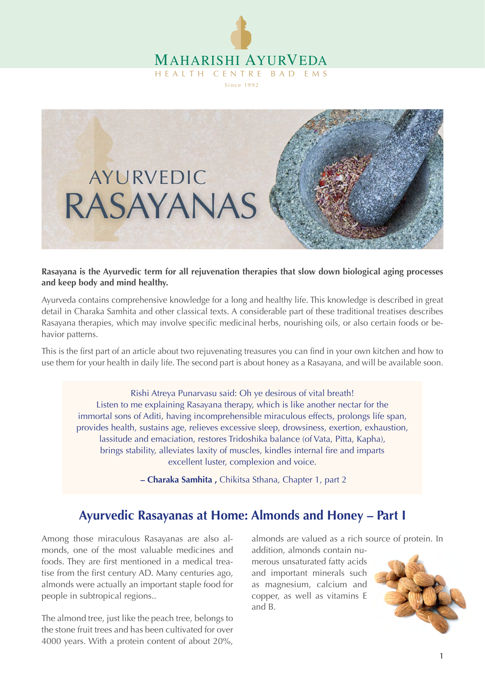



**Rasayana is the Ayurvedic term for all rejuvenation therapies that slow down biological aging processes and keep body and mind healthy.**

Ayurveda contains comprehensive knowledge for a long and healthy life. This knowledge is described in great detail in Charaka Samhita and other classical texts. A considerable part of these traditional treatises describes Rasayana therapies, which may involve specific medicinal herbs, nourishing oils, or also certain foods or behavior patterns.

This is the first part of an article about two rejuvenating treasures you can find in your own kitchen and how to use them for your health in daily life. The second part is about honey as a Rasayana, and will be available soon.

Rishi Atreya Punarvasu said: Oh ye desirous of vital breath! Listen to me explaining Rasayana therapy, which is like another nectar for the immortal sons of Aditi, having incomprehensible miraculous effects, prolongs life span, provides health, sustains age, relieves excessive sleep, drowsiness, exertion, exhaustion, lassitude and emaciation, restores Tridoshika balance (of Vata, Pitta, Kapha), brings stability, alleviates laxity of muscles, kindles internal fire and imparts excellent luster, complexion and voice.

 **– Charaka Samhita ,** Chikitsa Sthana, Chapter 1, part 2

# **Ayurvedic Rasayanas at Home: Almonds and Honey – Part I**

Among those miraculous Rasayanas are also almonds, one of the most valuable medicines and foods. They are first mentioned in a medical treatise from the first century AD. Many centuries ago, almonds were actually an important staple food for people in subtropical regions..

The almond tree, just like the peach tree, belongs to the stone fruit trees and has been cultivated for over 4000 years. With a protein content of about 20%,

almonds are valued as a rich source of protein. In

addition, almonds contain numerous unsaturated fatty acids and important minerals such as magnesium, calcium and copper, as well as vitamins E and B.

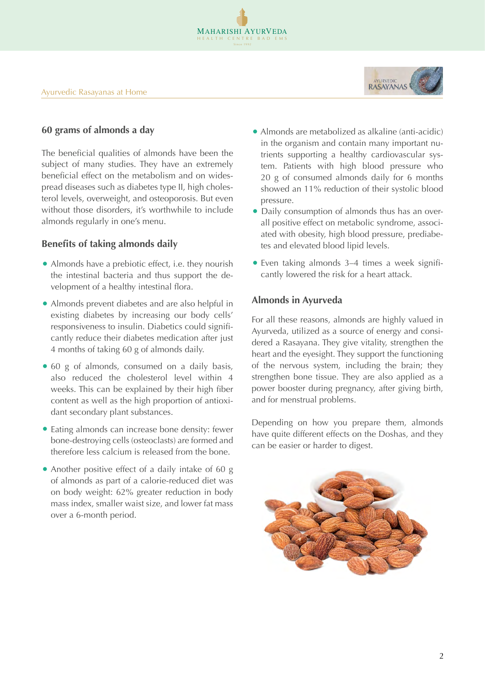

## **60 grams of almonds a day**

The beneficial qualities of almonds have been the subject of many studies. They have an extremely beneficial effect on the metabolism and on widespread diseases such as diabetes type II, high cholesterol levels, overweight, and osteoporosis. But even without those disorders, it's worthwhile to include almonds regularly in one's menu.

## **Benefits of taking almonds daily**

- Almonds have a prebiotic effect, i.e. they nourish the intestinal bacteria and thus support the development of a healthy intestinal flora.
- Almonds prevent diabetes and are also helpful in existing diabetes by increasing our body cells' responsiveness to insulin. Diabetics could significantly reduce their diabetes medication after just 4 months of taking 60 g of almonds daily.
- 60 g of almonds, consumed on a daily basis, also reduced the cholesterol level within 4 weeks. This can be explained by their high fiber content as well as the high proportion of antioxidant secondary plant substances.
- Eating almonds can increase bone density: fewer bone-destroying cells (osteoclasts) are formed and therefore less calcium is released from the bone.
- Another positive effect of a daily intake of 60 g of almonds as part of a calorie-reduced diet was on body weight: 62% greater reduction in body mass index, smaller waist size, and lower fat mass over a 6-month period.
- Almonds are metabolized as alkaline (anti-acidic) in the organism and contain many important nutrients supporting a healthy cardiovascular system. Patients with high blood pressure who 20 g of consumed almonds daily for 6 months showed an 11% reduction of their systolic blood pressure.
- Daily consumption of almonds thus has an overall positive effect on metabolic syndrome, associated with obesity, high blood pressure, prediabetes and elevated blood lipid levels.
- Even taking almonds 3–4 times a week significantly lowered the risk for a heart attack.

# **Almonds in Ayurveda**

MAHARISHI AYURVEDA HEALTH CENTRE BAD E

> For all these reasons, almonds are highly valued in Ayurveda, utilized as a source of energy and considered a Rasayana. They give vitality, strengthen the heart and the eyesight. They support the functioning of the nervous system, including the brain; they strengthen bone tissue. They are also applied as a power booster during pregnancy, after giving birth, and for menstrual problems.

> Depending on how you prepare them, almonds have quite different effects on the Doshas, and they can be easier or harder to digest.